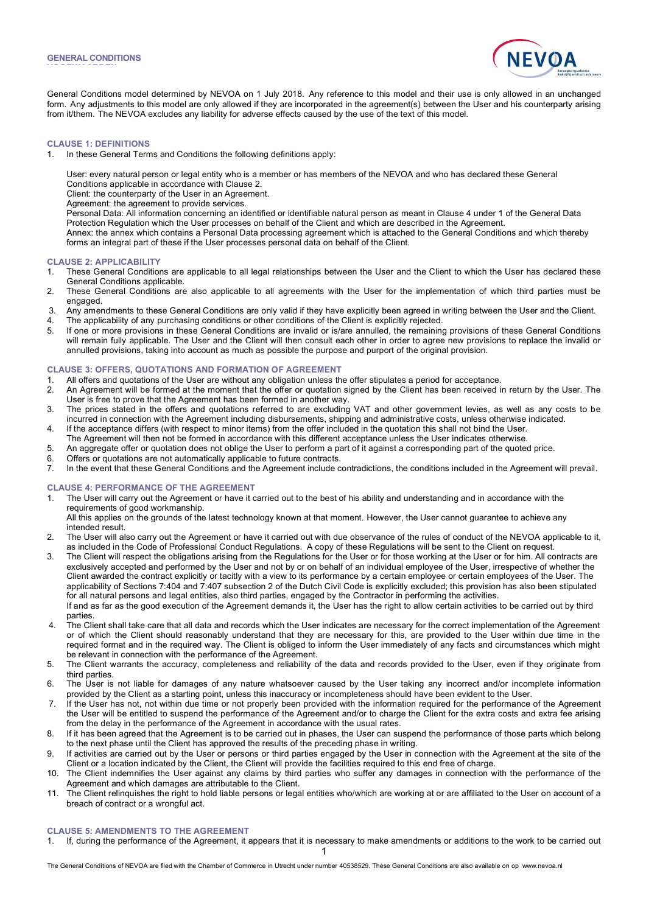**VOORWAARDEN**



General Conditions model determined by NEVOA on 1 July 2018. Any reference to this model and their use is only allowed in an unchanged form. Any adjustments to this model are only allowed if they are incorporated in the agreement(s) between the User and his counterparty arising from it/them. The NEVOA excludes any liability for adverse effects caused by the use of the text of this model.

# **CLAUSE 1: DEFINITIONS**

- 1. In these General Terms and Conditions the following definitions apply:
	- User: every natural person or legal entity who is a member or has members of the NEVOA and who has declared these General Conditions applicable in accordance with Clause 2.
	- Client: the counterparty of the User in an Agreement.
	- Agreement: the agreement to provide services.
	-
	- Personal Data: All information concerning an identified or identifiable natural person as meant in Clause 4 under 1 of the General Data Protection Regulation which the User processes on behalf of the Client and which are described in the Agreement.
	- Annex: the annex which contains a Personal Data processing agreement which is attached to the General Conditions and which thereby forms an integral part of these if the User processes personal data on behalf of the Client.

## **CLAUSE 2: APPLICABILITY**

- 1. These General Conditions are applicable to all legal relationships between the User and the Client to which the User has declared these General Conditions applicable.
- 2. These General Conditions are also applicable to all agreements with the User for the implementation of which third parties must be engaged.
- 3. Any amendments to these General Conditions are only valid if they have explicitly been agreed in writing between the User and the Client.
- 4. The applicability of any purchasing conditions or other conditions of the Client is explicitly rejected.
- 5. If one or more provisions in these General Conditions are invalid or is/are annulled, the remaining provisions of these General Conditions will remain fully applicable. The User and the Client will then consult each other in order to agree new provisions to replace the invalid or annulled provisions, taking into account as much as possible the purpose and purport of the original provision.

# **CLAUSE 3: OFFERS, QUOTATIONS AND FORMATION OF AGREEMENT**

- 1. All offers and quotations of the User are without any obligation unless the offer stipulates a period for acceptance.<br>2. An Agreement will be formed at the moment that the offer or quotation signed by the Client has bee
- 2. An Agreement will be formed at the moment that the offer or quotation signed by the Client has been received in return by the User. The User is free to prove that the Agreement has been formed in another way.
- 3. The prices stated in the offers and quotations referred to are excluding VAT and other government levies, as well as any costs to be incurred in connection with the Agreement including disbursements, shipping and administrative costs, unless otherwise indicated.
- 4. If the acceptance differs (with respect to minor items) from the offer included in the quotation this shall not bind the User.
- The Agreement will then not be formed in accordance with this different acceptance unless the User indicates otherwise.
- 5. An aggregate offer or quotation does not oblige the User to perform a part of it against a corresponding part of the quoted price.
- 6. Offers or quotations are not automatically applicable to future contracts.
- 7. In the event that these General Conditions and the Agreement include contradictions, the conditions included in the Agreement will prevail.

# **CLAUSE 4: PERFORMANCE OF THE AGREEMENT**

- 1. The User will carry out the Agreement or have it carried out to the best of his ability and understanding and in accordance with the requirements of good workmanship.
	- All this applies on the grounds of the latest technology known at that moment. However, the User cannot guarantee to achieve any intended result.
- 2. The User will also carry out the Agreement or have it carried out with due observance of the rules of conduct of the NEVOA applicable to it, as included in the Code of Professional Conduct Regulations. A copy of these Regulations will be sent to the Client on request.
- 3. The Client will respect the obligations arising from the Regulations for the User or for those working at the User or for him. All contracts are exclusively accepted and performed by the User and not by or on behalf of an individual employee of the User, irrespective of whether the Client awarded the contract explicitly or tacitly with a view to its performance by a certain employee or certain employees of the User. The applicability of Sections 7:404 and 7:407 subsection 2 of the Dutch Civil Code is explicitly excluded; this provision has also been stipulated for all natural persons and legal entities, also third parties, engaged by the Contractor in performing the activities. If and as far as the good execution of the Agreement demands it, the User has the right to allow certain activities to be carried out by third parties.
- 4. The Client shall take care that all data and records which the User indicates are necessary for the correct implementation of the Agreement or of which the Client should reasonably understand that they are necessary for this, are provided to the User within due time in the required format and in the required way. The Client is obliged to inform the User immediately of any facts and circumstances which might be relevant in connection with the performance of the Agreement.
- 5. The Client warrants the accuracy, completeness and reliability of the data and records provided to the User, even if they originate from third parties.
- 6. The User is not liable for damages of any nature whatsoever caused by the User taking any incorrect and/or incomplete information provided by the Client as a starting point, unless this inaccuracy or incompleteness should have been evident to the User.
- 7. If the User has not, not within due time or not properly been provided with the information required for the performance of the Agreement the User will be entitled to suspend the performance of the Agreement and/or to charge the Client for the extra costs and extra fee arising from the delay in the performance of the Agreement in accordance with the usual rates.
- 8. If it has been agreed that the Agreement is to be carried out in phases, the User can suspend the performance of those parts which belong to the next phase until the Client has approved the results of the preceding phase in writing.
- 9. If activities are carried out by the User or persons or third parties engaged by the User in connection with the Agreement at the site of the Client or a location indicated by the Client, the Client will provide the facilities required to this end free of charge.
- 10. The Client indemnifies the User against any claims by third parties who suffer any damages in connection with the performance of the Agreement and which damages are attributable to the Client.
- 11. The Client relinquishes the right to hold liable persons or legal entities who/which are working at or are affiliated to the User on account of a breach of contract or a wrongful act.

# **CLAUSE 5: AMENDMENTS TO THE AGREEMENT**

1 1. If, during the performance of the Agreement, it appears that it is necessary to make amendments or additions to the work to be carried out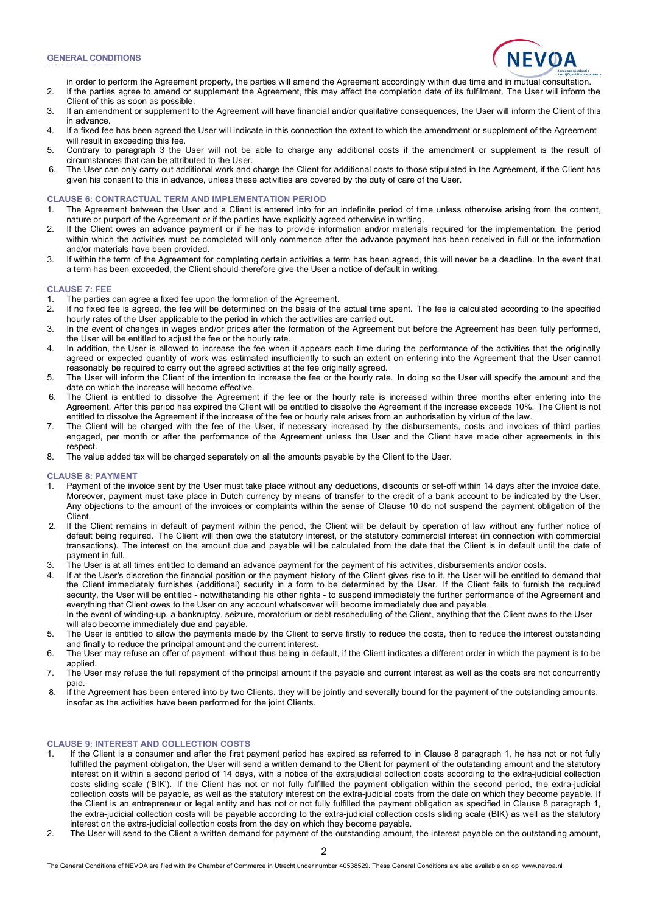**VOORWAARDEN**



- in order to perform the Agreement properly, the parties will amend the Agreement accordingly within due time and in mutual consultation. 2. If the parties agree to amend or supplement the Agreement, this may affect the completion date of its fulfilment. The User will inform the
- Client of this as soon as possible. 3. If an amendment or supplement to the Agreement will have financial and/or qualitative consequences, the User will inform the Client of this in advance.
- 4. If a fixed fee has been agreed the User will indicate in this connection the extent to which the amendment or supplement of the Agreement will result in exceeding this fee.
- 5. Contrary to paragraph 3 the User will not be able to charge any additional costs if the amendment or supplement is the result of circumstances that can be attributed to the User.
- 6. The User can only carry out additional work and charge the Client for additional costs to those stipulated in the Agreement, if the Client has given his consent to this in advance, unless these activities are covered by the duty of care of the User.

### **CLAUSE 6: CONTRACTUAL TERM AND IMPLEMENTATION PERIOD**

- 1. The Agreement between the User and a Client is entered into for an indefinite period of time unless otherwise arising from the content, nature or purport of the Agreement or if the parties have explicitly agreed otherwise in writing.
- 2. If the Client owes an advance payment or if he has to provide information and/or materials required for the implementation, the period within which the activities must be completed will only commence after the advance payment has been received in full or the information and/or materials have been provided.
- 3. If within the term of the Agreement for completing certain activities a term has been agreed, this will never be a deadline. In the event that a term has been exceeded, the Client should therefore give the User a notice of default in writing.

### **CLAUSE 7: FEE**

- 1. The parties can agree a fixed fee upon the formation of the Agreement.
- 2. If no fixed fee is agreed, the fee will be determined on the basis of the actual time spent. The fee is calculated according to the specified hourly rates of the User applicable to the period in which the activities are carried out.
- 3. In the event of changes in wages and/or prices after the formation of the Agreement but before the Agreement has been fully performed, the User will be entitled to adjust the fee or the hourly rate.
- 4. In addition, the User is allowed to increase the fee when it appears each time during the performance of the activities that the originally agreed or expected quantity of work was estimated insufficiently to such an extent on entering into the Agreement that the User cannot reasonably be required to carry out the agreed activities at the fee originally agreed.
- 5. The User will inform the Client of the intention to increase the fee or the hourly rate. In doing so the User will specify the amount and the date on which the increase will become effective.
- 6. The Client is entitled to dissolve the Agreement if the fee or the hourly rate is increased within three months after entering into the Agreement. After this period has expired the Client will be entitled to dissolve the Agreement if the increase exceeds 10%. The Client is not entitled to dissolve the Agreement if the increase of the fee or hourly rate arises from an authorisation by virtue of the law.
- 7. The Client will be charged with the fee of the User, if necessary increased by the disbursements, costs and invoices of third parties engaged, per month or after the performance of the Agreement unless the User and the Client have made other agreements in this respect.
- 8. The value added tax will be charged separately on all the amounts payable by the Client to the User.

#### **CLAUSE 8: PAYMENT**

- Payment of the invoice sent by the User must take place without any deductions, discounts or set-off within 14 days after the invoice date. Moreover, payment must take place in Dutch currency by means of transfer to the credit of a bank account to be indicated by the User. Any objections to the amount of the invoices or complaints within the sense of Clause 10 do not suspend the payment obligation of the Client.
- 2. If the Client remains in default of payment within the period, the Client will be default by operation of law without any further notice of default being required. The Client will then owe the statutory interest, or the statutory commercial interest (in connection with commercial transactions). The interest on the amount due and payable will be calculated from the date that the Client is in default until the date of payment in full.
- 3. The User is at all times entitled to demand an advance payment for the payment of his activities, disbursements and/or costs.
- If at the User's discretion the financial position or the payment history of the Client gives rise to it, the User will be entitled to demand that the Client immediately furnishes (additional) security in a form to be determined by the User. If the Client fails to furnish the required security, the User will be entitled - notwithstanding his other rights - to suspend immediately the further performance of the Agreement and everything that Client owes to the User on any account whatsoever will become immediately due and payable. In the event of winding-up, a bankruptcy, seizure, moratorium or debt rescheduling of the Client, anything that the Client owes to the User will also become immediately due and payable.
- 5. The User is entitled to allow the payments made by the Client to serve firstly to reduce the costs, then to reduce the interest outstanding and finally to reduce the principal amount and the current interest.
- 6. The User may refuse an offer of payment, without thus being in default, if the Client indicates a different order in which the payment is to be applied.
- 7. The User may refuse the full repayment of the principal amount if the payable and current interest as well as the costs are not concurrently paid.
- 8. If the Agreement has been entered into by two Clients, they will be jointly and severally bound for the payment of the outstanding amounts, insofar as the activities have been performed for the joint Clients.

# **CLAUSE 9: INTEREST AND COLLECTION COSTS**

- 1. If the Client is a consumer and after the first payment period has expired as referred to in Clause 8 paragraph 1, he has not or not fully fulfilled the payment obligation, the User will send a written demand to the Client for payment of the outstanding amount and the statutory interest on it within a second period of 14 days, with a notice of the extrajudicial collection costs according to the extra-judicial collection costs sliding scale ('BIK'). If the Client has not or not fully fulfilled the payment obligation within the second period, the extra-judicial collection costs will be payable, as well as the statutory interest on the extra-judicial costs from the date on which they become payable. If the Client is an entrepreneur or legal entity and has not or not fully fulfilled the payment obligation as specified in Clause 8 paragraph 1, the extra-judicial collection costs will be payable according to the extra-judicial collection costs sliding scale (BIK) as well as the statutory interest on the extra-judicial collection costs from the day on which they become payable.
- 2. The User will send to the Client a written demand for payment of the outstanding amount, the interest payable on the outstanding amount,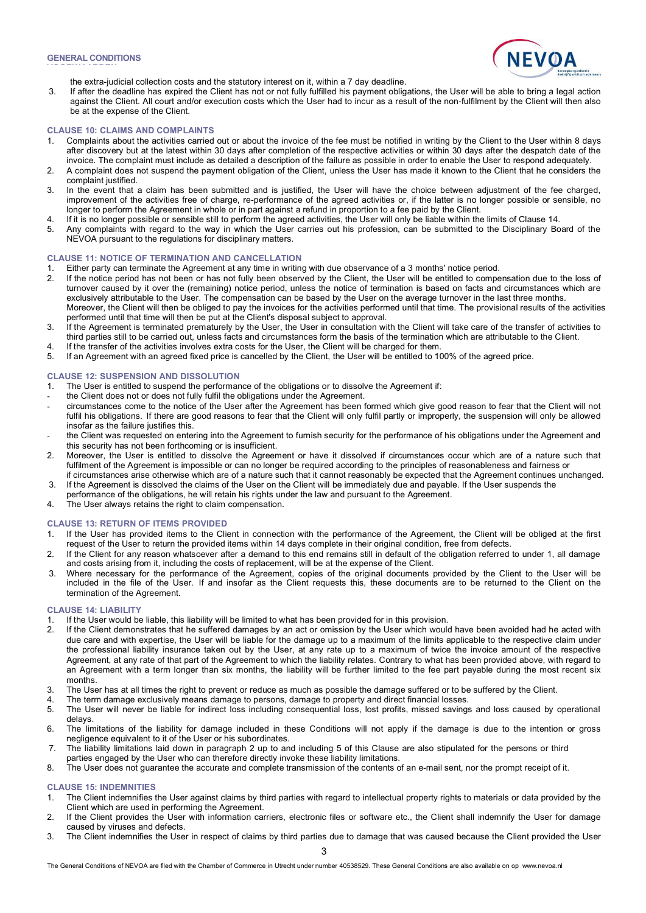**VOORWAARDEN**



the extra-judicial collection costs and the statutory interest on it, within a 7 day deadline.

3. If after the deadline has expired the Client has not or not fully fulfilled his payment obligations, the User will be able to bring a legal action against the Client. All court and/or execution costs which the User had to incur as a result of the non-fulfilment by the Client will then also be at the expense of the Client.

### **CLAUSE 10: CLAIMS AND COMPLAINTS**

- 1. Complaints about the activities carried out or about the invoice of the fee must be notified in writing by the Client to the User within 8 days after discovery but at the latest within 30 days after completion of the respective activities or within 30 days after the despatch date of the invoice. The complaint must include as detailed a description of the failure as possible in order to enable the User to respond adequately.
- 2. A complaint does not suspend the payment obligation of the Client, unless the User has made it known to the Client that he considers the complaint justified.
- 3. In the event that a claim has been submitted and is justified, the User will have the choice between adjustment of the fee charged, improvement of the activities free of charge, re-performance of the agreed activities or, if the latter is no longer possible or sensible, no longer to perform the Agreement in whole or in part against a refund in proportion to a fee paid by the Client.
- 4. If it is no longer possible or sensible still to perform the agreed activities, the User will only be liable within the limits of Clause 14.
- 5. Any complaints with regard to the way in which the User carries out his profession, can be submitted to the Disciplinary Board of the NEVOA pursuant to the regulations for disciplinary matters.

# **CLAUSE 11: NOTICE OF TERMINATION AND CANCELLATION**

- 1. Either party can terminate the Agreement at any time in writing with due observance of a 3 months' notice period.
- 2. If the notice period has not been or has not fully been observed by the Client, the User will be entitled to compensation due to the loss of turnover caused by it over the (remaining) notice period, unless the notice of termination is based on facts and circumstances which are exclusively attributable to the User. The compensation can be based by the User on the average turnover in the last three months. Moreover, the Client will then be obliged to pay the invoices for the activities performed until that time. The provisional results of the activities
- performed until that time will then be put at the Client's disposal subject to approval.
- 3. If the Agreement is terminated prematurely by the User, the User in consultation with the Client will take care of the transfer of activities to third parties still to be carried out, unless facts and circumstances form the basis of the termination which are attributable to the Client.
- 4. If the transfer of the activities involves extra costs for the User, the Client will be charged for them.<br>5. If an Agreement with an agreed fixed price is cancelled by the Client, the User will be entitled to 10
- 5. If an Agreement with an agreed fixed price is cancelled by the Client, the User will be entitled to 100% of the agreed price.

# **CLAUSE 12: SUSPENSION AND DISSOLUTION**

- 1. The User is entitled to suspend the performance of the obligations or to dissolve the Agreement if:
- the Client does not or does not fully fulfil the obligations under the Agreement.
- circumstances come to the notice of the User after the Agreement has been formed which give good reason to fear that the Client will not fulfil his obligations. If there are good reasons to fear that the Client will only fulfil partly or improperly, the suspension will only be allowed insofar as the failure justifies this.
- the Client was requested on entering into the Agreement to furnish security for the performance of his obligations under the Agreement and this security has not been forthcoming or is insufficient.
- 2. Moreover, the User is entitled to dissolve the Agreement or have it dissolved if circumstances occur which are of a nature such that fulfilment of the Agreement is impossible or can no longer be required according to the principles of reasonableness and fairness or if circumstances arise otherwise which are of a nature such that it cannot reasonably be expected that the Agreement continues unchanged.
- 3. If the Agreement is dissolved the claims of the User on the Client will be immediately due and payable. If the User suspends the
- performance of the obligations, he will retain his rights under the law and pursuant to the Agreement.
- 4. The User always retains the right to claim compensation.

### **CLAUSE 13: RETURN OF ITEMS PROVIDED**

- 1. If the User has provided items to the Client in connection with the performance of the Agreement, the Client will be obliged at the first request of the User to return the provided items within 14 days complete in their original condition, free from defects.
- 2. If the Client for any reason whatsoever after a demand to this end remains still in default of the obligation referred to under 1, all damage and costs arising from it, including the costs of replacement, will be at the expense of the Client.
- 3. Where necessary for the performance of the Agreement, copies of the original documents provided by the Client to the User will be included in the file of the User. If and insofar as the Client requests this, these documents are to be returned to the Client on the termination of the Agreement.

# **CLAUSE 14: LIABILITY**

- If the User would be liable, this liability will be limited to what has been provided for in this provision.
- 2. If the Client demonstrates that he suffered damages by an act or omission by the User which would have been avoided had he acted with due care and with expertise, the User will be liable for the damage up to a maximum of the limits applicable to the respective claim under the professional liability insurance taken out by the User, at any rate up to a maximum of twice the invoice amount of the respective Agreement, at any rate of that part of the Agreement to which the liability relates. Contrary to what has been provided above, with regard to an Agreement with a term longer than six months, the liability will be further limited to the fee part payable during the most recent six months.
- 3. The User has at all times the right to prevent or reduce as much as possible the damage suffered or to be suffered by the Client.
- 4. The term damage exclusively means damage to persons, damage to property and direct financial losses.<br>5. The User will never be liable for indirect loss including consequential loss, lost profits, missed saving
- 5. The User will never be liable for indirect loss including consequential loss, lost profits, missed savings and loss caused by operational delays.
- 6. The limitations of the liability for damage included in these Conditions will not apply if the damage is due to the intention or gross negligence equivalent to it of the User or his subordinates.
- 7. The liability limitations laid down in paragraph 2 up to and including 5 of this Clause are also stipulated for the persons or third
- parties engaged by the User who can therefore directly invoke these liability limitations.
- 8. The User does not guarantee the accurate and complete transmission of the contents of an e-mail sent, nor the prompt receipt of it.

### **CLAUSE 15: INDEMNITIES**

- 1. The Client indemnifies the User against claims by third parties with regard to intellectual property rights to materials or data provided by the Client which are used in performing the Agreement.
- 2. If the Client provides the User with information carriers, electronic files or software etc., the Client shall indemnify the User for damage caused by viruses and defects.
- 3. The Client indemnifies the User in respect of claims by third parties due to damage that was caused because the Client provided the User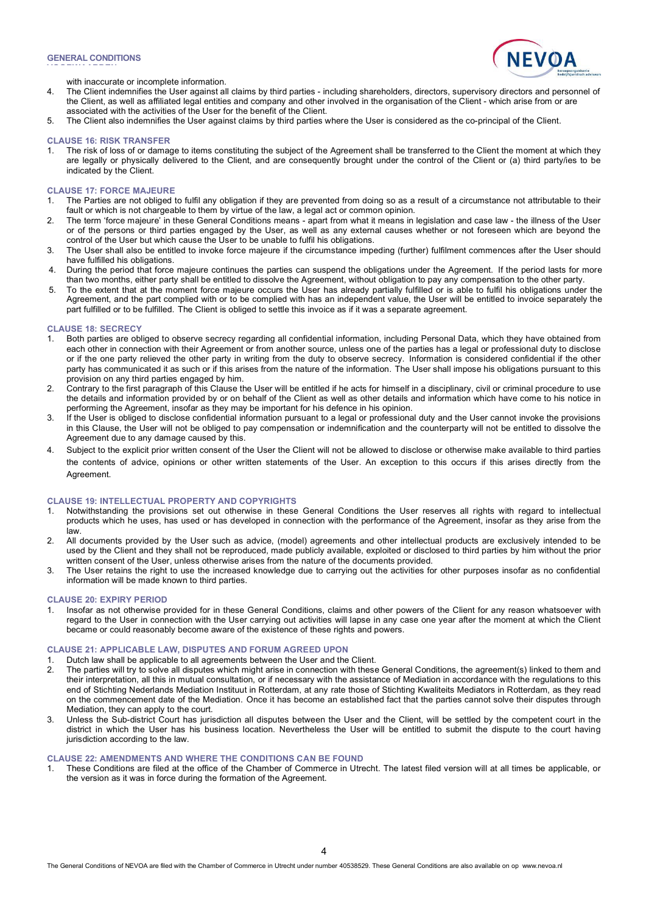**VOORWAARDEN**



with inaccurate or incomplete information.

- 4. The Client indemnifies the User against all claims by third parties including shareholders, directors, supervisory directors and personnel of the Client, as well as affiliated legal entities and company and other involved in the organisation of the Client - which arise from or are associated with the activities of the User for the benefit of the Client.
- 5. The Client also indemnifies the User against claims by third parties where the User is considered as the co-principal of the Client.

#### **CLAUSE 16: RISK TRANSFER**

1. The risk of loss of or damage to items constituting the subject of the Agreement shall be transferred to the Client the moment at which they are legally or physically delivered to the Client, and are consequently brought under the control of the Client or (a) third party/ies to be indicated by the Client.

# **CLAUSE 17: FORCE MAJEURE**

- 1. The Parties are not obliged to fulfil any obligation if they are prevented from doing so as a result of a circumstance not attributable to their fault or which is not chargeable to them by virtue of the law, a legal act or common opinion.
- 2. The term 'force majeure' in these General Conditions means apart from what it means in legislation and case law the illness of the User or of the persons or third parties engaged by the User, as well as any external causes whether or not foreseen which are beyond the control of the User but which cause the User to be unable to fulfil his obligations.
- 3. The User shall also be entitled to invoke force majeure if the circumstance impeding (further) fulfilment commences after the User should have fulfilled his obligations.
- 4. During the period that force majeure continues the parties can suspend the obligations under the Agreement. If the period lasts for more than two months, either party shall be entitled to dissolve the Agreement, without obligation to pay any compensation to the other party.
- 5. To the extent that at the moment force majeure occurs the User has already partially fulfilled or is able to fulfil his obligations under the Agreement, and the part complied with or to be complied with has an independent value, the User will be entitled to invoice separately the part fulfilled or to be fulfilled. The Client is obliged to settle this invoice as if it was a separate agreement.

### **CLAUSE 18: SECRECY**

- 1. Both parties are obliged to observe secrecy regarding all confidential information, including Personal Data, which they have obtained from each other in connection with their Agreement or from another source, unless one of the parties has a legal or professional duty to disclose or if the one party relieved the other party in writing from the duty to observe secrecy. Information is considered confidential if the other party has communicated it as such or if this arises from the nature of the information. The User shall impose his obligations pursuant to this provision on any third parties engaged by him.
- 2. Contrary to the first paragraph of this Clause the User will be entitled if he acts for himself in a disciplinary, civil or criminal procedure to use the details and information provided by or on behalf of the Client as well as other details and information which have come to his notice in performing the Agreement, insofar as they may be important for his defence in his opinion.
- 3. If the User is obliged to disclose confidential information pursuant to a legal or professional duty and the User cannot invoke the provisions in this Clause, the User will not be obliged to pay compensation or indemnification and the counterparty will not be entitled to dissolve the Agreement due to any damage caused by this.
- 4. Subject to the explicit prior written consent of the User the Client will not be allowed to disclose or otherwise make available to third parties the contents of advice, opinions or other written statements of the User. An exception to this occurs if this arises directly from the Agreement.

#### **CLAUSE 19: INTELLECTUAL PROPERTY AND COPYRIGHTS**

- 1. Notwithstanding the provisions set out otherwise in these General Conditions the User reserves all rights with regard to intellectual products which he uses, has used or has developed in connection with the performance of the Agreement, insofar as they arise from the law.
- 2. All documents provided by the User such as advice, (model) agreements and other intellectual products are exclusively intended to be used by the Client and they shall not be reproduced, made publicly available, exploited or disclosed to third parties by him without the prior written consent of the User, unless otherwise arises from the nature of the documents provided.
- 3. The User retains the right to use the increased knowledge due to carrying out the activities for other purposes insofar as no confidential information will be made known to third parties.

# **CLAUSE 20: EXPIRY PERIOD**

1. Insofar as not otherwise provided for in these General Conditions, claims and other powers of the Client for any reason whatsoever with regard to the User in connection with the User carrying out activities will lapse in any case one year after the moment at which the Client became or could reasonably become aware of the existence of these rights and powers.

# **CLAUSE 21: APPLICABLE LAW, DISPUTES AND FORUM AGREED UPON**

- 1. Dutch law shall be applicable to all agreements between the User and the Client.
- 2. The parties will try to solve all disputes which might arise in connection with these General Conditions, the agreement(s) linked to them and their interpretation, all this in mutual consultation, or if necessary with the assistance of Mediation in accordance with the regulations to this end of Stichting Nederlands Mediation Instituut in Rotterdam, at any rate those of Stichting Kwaliteits Mediators in Rotterdam, as they read on the commencement date of the Mediation. Once it has become an established fact that the parties cannot solve their disputes through Mediation, they can apply to the court.
- 3. Unless the Sub-district Court has jurisdiction all disputes between the User and the Client, will be settled by the competent court in the district in which the User has his business location. Nevertheless the User will be entitled to submit the dispute to the court having jurisdiction according to the law.

### **CLAUSE 22: AMENDMENTS AND WHERE THE CONDITIONS CAN BE FOUND**

1. These Conditions are filed at the office of the Chamber of Commerce in Utrecht. The latest filed version will at all times be applicable, or the version as it was in force during the formation of the Agreement.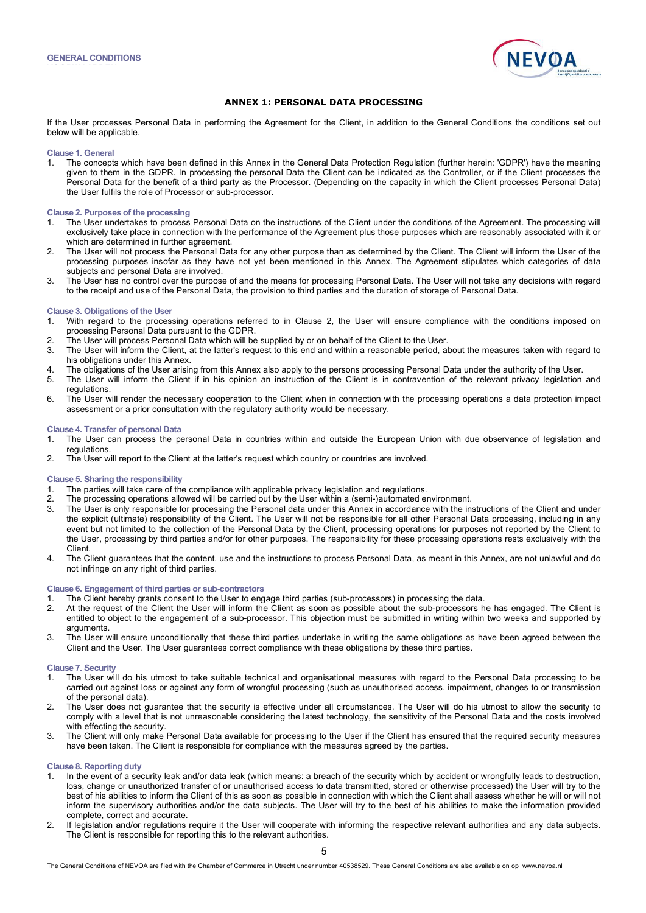**VOORWAARDEN**



# **ANNEX 1: PERSONAL DATA PROCESSING**

If the User processes Personal Data in performing the Agreement for the Client, in addition to the General Conditions the conditions set out below will be applicable.

**Clause 1. General**

1. The concepts which have been defined in this Annex in the General Data Protection Regulation (further herein: 'GDPR') have the meaning given to them in the GDPR. In processing the personal Data the Client can be indicated as the Controller, or if the Client processes the Personal Data for the benefit of a third party as the Processor. (Depending on the capacity in which the Client processes Personal Data) the User fulfils the role of Processor or sub-processor.

### **Clause 2. Purposes of the processing**

- 1. The User undertakes to process Personal Data on the instructions of the Client under the conditions of the Agreement. The processing will exclusively take place in connection with the performance of the Agreement plus those purposes which are reasonably associated with it or which are determined in further agreement.
- 2. The User will not process the Personal Data for any other purpose than as determined by the Client. The Client will inform the User of the processing purposes insofar as they have not yet been mentioned in this Annex. The Agreement stipulates which categories of data subjects and personal Data are involved.
- 3. The User has no control over the purpose of and the means for processing Personal Data. The User will not take any decisions with regard to the receipt and use of the Personal Data, the provision to third parties and the duration of storage of Personal Data.

#### **Clause 3. Obligations of the User**

- 1. With regard to the processing operations referred to in Clause 2, the User will ensure compliance with the conditions imposed on processing Personal Data pursuant to the GDPR.
- 2. The User will process Personal Data which will be supplied by or on behalf of the Client to the User.<br>3. The User will inform the Client, at the latter's request to this end and within a reasonable period, all
- The User will inform the Client, at the latter's request to this end and within a reasonable period, about the measures taken with regard to his obligations under this Annex.
- 4. The obligations of the User arising from this Annex also apply to the persons processing Personal Data under the authority of the User.
- 5. The User will inform the Client if in his opinion an instruction of the Client is in contravention of the relevant privacy legislation and regulations.
- 6. The User will render the necessary cooperation to the Client when in connection with the processing operations a data protection impact assessment or a prior consultation with the regulatory authority would be necessary.

### **Clause 4. Transfer of personal Data**

- 1. The User can process the personal Data in countries within and outside the European Union with due observance of legislation and regulations.
- 2. The User will report to the Client at the latter's request which country or countries are involved.

### **Clause 5. Sharing the responsibility**

- 1. The parties will take care of the compliance with applicable privacy legislation and regulations.
- 2. The processing operations allowed will be carried out by the User within a (semi-)automated environment.
- 3. The User is only responsible for processing the Personal data under this Annex in accordance with the instructions of the Client and under the explicit (ultimate) responsibility of the Client. The User will not be responsible for all other Personal Data processing, including in any event but not limited to the collection of the Personal Data by the Client, processing operations for purposes not reported by the Client to the User, processing by third parties and/or for other purposes. The responsibility for these processing operations rests exclusively with the Client.
- 4. The Client guarantees that the content, use and the instructions to process Personal Data, as meant in this Annex, are not unlawful and do not infringe on any right of third parties.

### **Clause 6. Engagement of third parties or sub-contractors**

- 1. The Client hereby grants consent to the User to engage third parties (sub-processors) in processing the data.<br>2. At the request of the Client the User will inform the Client as soon as possible about the sub-processors
- 2. At the request of the Client the User will inform the Client as soon as possible about the sub-processors he has engaged. The Client is entitled to object to the engagement of a sub-processor. This objection must be submitted in writing within two weeks and supported by arguments.
- 3. The User will ensure unconditionally that these third parties undertake in writing the same obligations as have been agreed between the Client and the User. The User guarantees correct compliance with these obligations by these third parties.

#### **Clause 7. Security**

- 1. The User will do his utmost to take suitable technical and organisational measures with regard to the Personal Data processing to be carried out against loss or against any form of wrongful processing (such as unauthorised access, impairment, changes to or transmission of the personal data).
- 2. The User does not guarantee that the security is effective under all circumstances. The User will do his utmost to allow the security to comply with a level that is not unreasonable considering the latest technology, the sensitivity of the Personal Data and the costs involved with effecting the security.
- 3. The Client will only make Personal Data available for processing to the User if the Client has ensured that the required security measures have been taken. The Client is responsible for compliance with the measures agreed by the parties.

### **Clause 8. Reporting duty**

- 1. In the event of a security leak and/or data leak (which means: a breach of the security which by accident or wrongfully leads to destruction, loss, change or unauthorized transfer of or unauthorised access to data transmitted, stored or otherwise processed) the User will try to the best of his abilities to inform the Client of this as soon as possible in connection with which the Client shall assess whether he will or will not inform the supervisory authorities and/or the data subjects. The User will try to the best of his abilities to make the information provided complete, correct and accurate.
- 2. If legislation and/or regulations require it the User will cooperate with informing the respective relevant authorities and any data subjects. The Client is responsible for reporting this to the relevant authorities.